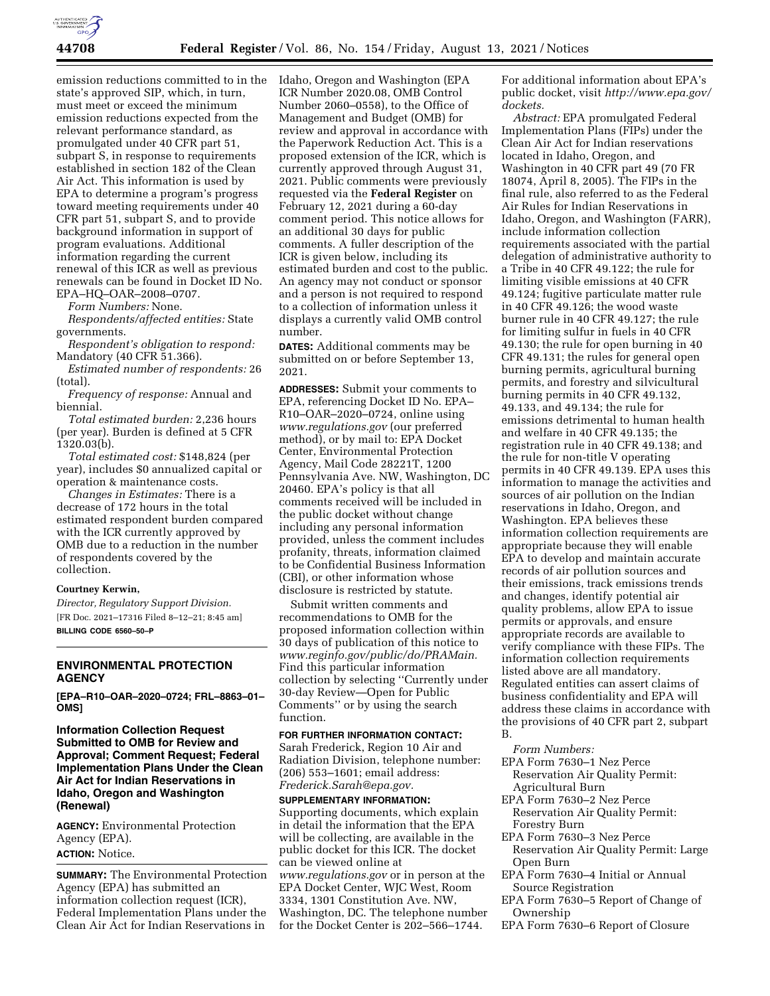

emission reductions committed to in the state's approved SIP, which, in turn, must meet or exceed the minimum emission reductions expected from the relevant performance standard, as promulgated under 40 CFR part 51, subpart S, in response to requirements established in section 182 of the Clean Air Act. This information is used by EPA to determine a program's progress toward meeting requirements under 40 CFR part 51, subpart S, and to provide background information in support of program evaluations. Additional information regarding the current renewal of this ICR as well as previous renewals can be found in Docket ID No. EPA–HQ–OAR–2008–0707.

*Form Numbers:* None.

*Respondents/affected entities:* State governments.

*Respondent's obligation to respond:*  Mandatory (40 CFR 51.366).

*Estimated number of respondents:* 26 (total).

*Frequency of response:* Annual and biennial.

*Total estimated burden:* 2,236 hours (per year). Burden is defined at 5 CFR 1320.03(b).

*Total estimated cost:* \$148,824 (per year), includes \$0 annualized capital or operation & maintenance costs.

*Changes in Estimates:* There is a decrease of 172 hours in the total estimated respondent burden compared with the ICR currently approved by OMB due to a reduction in the number of respondents covered by the collection.

## **Courtney Kerwin,**

*Director, Regulatory Support Division.*  [FR Doc. 2021–17316 Filed 8–12–21; 8:45 am] **BILLING CODE 6560–50–P** 

# **ENVIRONMENTAL PROTECTION AGENCY**

**[EPA–R10–OAR–2020–0724; FRL–8863–01– OMS]** 

**Information Collection Request Submitted to OMB for Review and Approval; Comment Request; Federal Implementation Plans Under the Clean Air Act for Indian Reservations in Idaho, Oregon and Washington (Renewal)** 

**AGENCY:** Environmental Protection Agency (EPA). **ACTION:** Notice.

**SUMMARY:** The Environmental Protection Agency (EPA) has submitted an information collection request (ICR), Federal Implementation Plans under the Clean Air Act for Indian Reservations in

Idaho, Oregon and Washington (EPA ICR Number 2020.08, OMB Control Number 2060–0558), to the Office of Management and Budget (OMB) for review and approval in accordance with the Paperwork Reduction Act. This is a proposed extension of the ICR, which is currently approved through August 31, 2021. Public comments were previously requested via the **Federal Register** on February 12, 2021 during a 60-day comment period. This notice allows for an additional 30 days for public comments. A fuller description of the ICR is given below, including its estimated burden and cost to the public. An agency may not conduct or sponsor and a person is not required to respond to a collection of information unless it displays a currently valid OMB control number.

**DATES:** Additional comments may be submitted on or before September 13, 2021.

**ADDRESSES:** Submit your comments to EPA, referencing Docket ID No. EPA– R10–OAR–2020–0724, online using *[www.regulations.gov](http://www.regulations.gov)* (our preferred method), or by mail to: EPA Docket Center, Environmental Protection Agency, Mail Code 28221T, 1200 Pennsylvania Ave. NW, Washington, DC 20460. EPA's policy is that all comments received will be included in the public docket without change including any personal information provided, unless the comment includes profanity, threats, information claimed to be Confidential Business Information (CBI), or other information whose disclosure is restricted by statute.

Submit written comments and recommendations to OMB for the proposed information collection within 30 days of publication of this notice to *[www.reginfo.gov/public/do/PRAMain.](http://www.reginfo.gov/public/do/PRAMain)*  Find this particular information collection by selecting ''Currently under 30-day Review—Open for Public Comments'' or by using the search function.

# **FOR FURTHER INFORMATION CONTACT:**

Sarah Frederick, Region 10 Air and Radiation Division, telephone number: (206) 553–1601; email address: *[Frederick.Sarah@epa.gov.](mailto:Frederick.Sarah@epa.gov)* 

**SUPPLEMENTARY INFORMATION:**  Supporting documents, which explain in detail the information that the EPA will be collecting, are available in the public docket for this ICR. The docket can be viewed online at *[www.regulations.gov](http://www.regulations.gov)* or in person at the EPA Docket Center, WJC West, Room 3334, 1301 Constitution Ave. NW, Washington, DC. The telephone number for the Docket Center is 202–566–1744.

For additional information about EPA's public docket, visit *[http://www.epa.gov/](http://www.epa.gov/dockets)  [dockets.](http://www.epa.gov/dockets)* 

*Abstract:* EPA promulgated Federal Implementation Plans (FIPs) under the Clean Air Act for Indian reservations located in Idaho, Oregon, and Washington in 40 CFR part 49 (70 FR 18074, April 8, 2005). The FIPs in the final rule, also referred to as the Federal Air Rules for Indian Reservations in Idaho, Oregon, and Washington (FARR), include information collection requirements associated with the partial delegation of administrative authority to a Tribe in 40 CFR 49.122; the rule for limiting visible emissions at 40 CFR 49.124; fugitive particulate matter rule in 40 CFR 49.126; the wood waste burner rule in 40 CFR 49.127; the rule for limiting sulfur in fuels in 40 CFR 49.130; the rule for open burning in 40 CFR 49.131; the rules for general open burning permits, agricultural burning permits, and forestry and silvicultural burning permits in 40 CFR 49.132, 49.133, and 49.134; the rule for emissions detrimental to human health and welfare in 40 CFR 49.135; the registration rule in 40 CFR 49.138; and the rule for non-title V operating permits in 40 CFR 49.139. EPA uses this information to manage the activities and sources of air pollution on the Indian reservations in Idaho, Oregon, and Washington. EPA believes these information collection requirements are appropriate because they will enable EPA to develop and maintain accurate records of air pollution sources and their emissions, track emissions trends and changes, identify potential air quality problems, allow EPA to issue permits or approvals, and ensure appropriate records are available to verify compliance with these FIPs. The information collection requirements listed above are all mandatory. Regulated entities can assert claims of business confidentiality and EPA will address these claims in accordance with the provisions of 40 CFR part 2, subpart B.

#### *Form Numbers:*

- EPA Form 7630–1 Nez Perce Reservation Air Quality Permit: Agricultural Burn
- 
- EPA Form 7630–2 Nez Perce Reservation Air Quality Permit: Forestry Burn
- EPA Form 7630–3 Nez Perce Reservation Air Quality Permit: Large Open Burn
- EPA Form 7630–4 Initial or Annual Source Registration
- EPA Form 7630–5 Report of Change of Ownership
- EPA Form 7630–6 Report of Closure